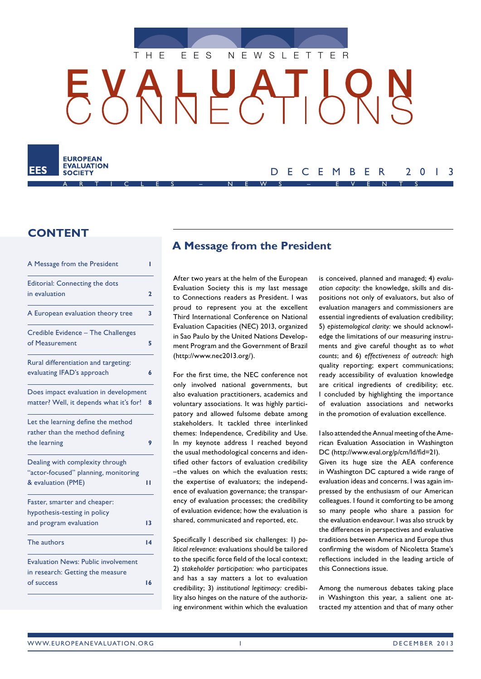

# HUA ┌┚╷┝╸

# **CONTENT**

**EUROPEAN EVALUATION SOCIETY** 

| A Message from the President               | ı              |
|--------------------------------------------|----------------|
| <b>Editorial: Connecting the dots</b>      |                |
| in evaluation                              | $\overline{2}$ |
| A European evaluation theory tree          | 3              |
| Credible Evidence - The Challenges         |                |
| of Measurement                             | 5              |
| Rural differentiation and targeting:       |                |
| evaluating IFAD's approach                 | 6              |
| Does impact evaluation in development      |                |
| matter? Well, it depends what it's for!    | 8              |
| Let the learning define the method         |                |
| rather than the method defining            |                |
| the learning                               | 9              |
| Dealing with complexity through            |                |
| "actor-focused" planning, monitoring       |                |
| & evaluation (PME)                         | п              |
| Faster, smarter and cheaper:               |                |
| hypothesis-testing in policy               |                |
| and program evaluation                     | 13             |
| The authors                                | 14             |
| <b>Evaluation News: Public involvement</b> |                |
| in research: Getting the measure           |                |
| of success                                 | 16             |
|                                            |                |

## **A Message from the President**

ARTICLES – NEWS – EVENTS

After two years at the helm of the European Evaluation Society this is my last message to Connections readers as President. I was proud to represent you at the excellent Third International Conference on National Evaluation Capacities (NEC) 2013, organized in Sao Paulo by the United Nations Development Program and the Government of Brazil (http://www.nec2013.org/).

For the first time, the NEC conference not only involved national governments, but also evaluation practitioners, academics and voluntary associations. It was highly participatory and allowed fulsome debate among stakeholders. It tackled three interlinked themes: Independence, Credibility and Use. In my keynote address I reached beyond the usual methodological concerns and identified other factors of evaluation credibility –the values on which the evaluation rests; the expertise of evaluators; the independence of evaluation governance; the transparency of evaluation processes; the credibility of evaluation evidence; how the evaluation is shared, communicated and reported, etc.

Specifically I described six challenges: 1) po*litical relevance:* evaluations should be tailored to the specific force field of the local context; 2) *stakeholder participation:* who participates and has a say matters a lot to evaluation credi bility; 3) *institutional legitimacy:* credibility also hinges on the nature of the authorizing environment within which the evaluation is conceived, planned and managed; 4) *evaluation capacity:* the knowledge, skills and dispositions not only of evaluators, but also of evaluation managers and commissioners are essential ingredients of evaluation credibility; 5) *epistemological clarity:* we should acknowledge the limitations of our measuring instruments and give careful thought as to *what counts*; and 6) *effectiveness of outreach:* high quality reporting; expert communications; ready accessibility of evaluation knowledge are critical ingredients of credibility; etc. I concluded by highlighting the importance of evaluation associations and networks in the promotion of evaluation excellence.

DECEMBER 2013

I also attended the Annual meeting of the American Evaluation Association in Washington DC (http://www.eval.org/p/cm/ld/fid=21).

Given its huge size the AEA conference in Washington DC captured a wide range of evaluation ideas and concerns. I was again impressed by the enthusiasm of our American colleagues. I found it comforting to be among so many people who share a passion for the evaluation endeavour. I was also struck by the differences in perspectives and evaluative traditions between America and Europe thus confirming the wisdom of Nicoletta Stame's reflections included in the leading article of this Connections issue.

Among the numerous debates taking place in Washington this year, a salient one attracted my attention and that of many other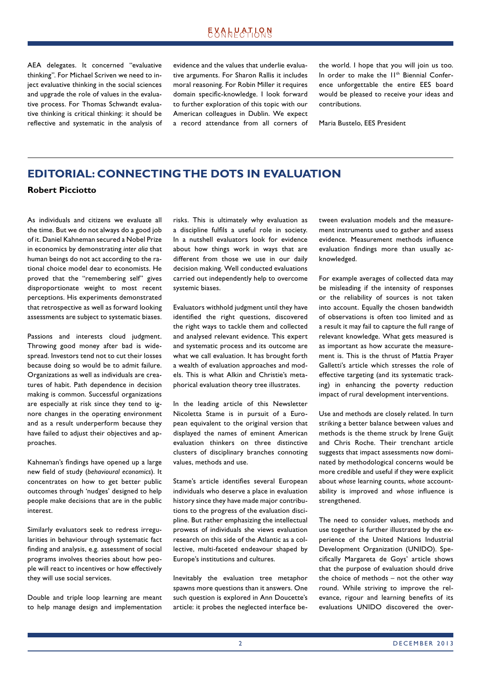## **EXALPATLQN**

AEA delegates. It concerned "evaluative thinking". For Michael Scriven we need to inject evaluative thinking in the social sciences and upgrade the role of values in the evaluative process. For Thomas Schwandt evaluative thinking is critical thinking: it should be reflective and systematic in the analysis of evidence and the values that underlie evaluative arguments. For Sharon Rallis it includes moral reasoning. For Robin Miller it requires domain specific-knowledge. I look forward to further exploration of this topic with our American colleagues in Dublin. We expect a record attendance from all corners of the world. I hope that you will join us too. In order to make the II<sup>th</sup> Biennial Conference unforgettable the entire EES board would be pleased to receive your ideas and contributions.

Maria Bustelo, EES President

# **EDITORIAL: CONNECTING THE DOTS IN EVALUATION**

## **Robert Picciotto**

As individuals and citizens we evaluate all the time. But we do not always do a good job of it. Daniel Kahneman secured a Nobel Prize in economics by demonstrating *inter alia* that human beings do not act according to the rational choice model dear to economists. He proved that the "remembering self" gives disproportionate weight to most recent perceptions. His experiments demonstrated that retrospective as well as forward looking assessments are subject to systematic biases.

Passions and interests cloud judgment. Throwing good money after bad is widespread. Investors tend not to cut their losses because doing so would be to admit failure. Organizations as well as individuals are creatures of habit. Path dependence in decision making is common. Successful organizations are especially at risk since they tend to ignore changes in the operating environment and as a result underperform because they have failed to adjust their objectives and approaches.

Kahneman's findings have opened up a large new fi eld of study (*behavioural economics*). It concentrates on how to get better public outcomes through 'nudges' designed to help people make decisions that are in the public interest.

Similarly evaluators seek to redress irregularities in behaviour through systematic fact finding and analysis, e.g. assessment of social programs involves theories about how people will react to incentives or how effectively they will use social services.

Double and triple loop learning are meant to help manage design and implementation risks. This is ultimately why evaluation as a discipline fulfils a useful role in society. In a nutshell evaluators look for evidence about how things work in ways that are different from those we use in our daily decision making. Well conducted evaluations carried out independently help to overcome systemic biases.

Evaluators withhold judgment until they have identified the right questions, discovered the right ways to tackle them and collected and analysed relevant evidence. This expert and systematic process and its outcome are what we call evaluation. It has brought forth a wealth of evaluation approaches and models. This is what Alkin and Christie's metaphorical evaluation theory tree illustrates.

In the leading article of this Newsletter Nicoletta Stame is in pursuit of a European equivalent to the original version that displayed the names of eminent American evaluation thinkers on three distinctive clusters of disciplinary branches connoting values, methods and use.

Stame's article identifies several European individuals who deserve a place in evaluation history since they have made major contributions to the progress of the evaluation discipline. But rather emphasizing the intellectual prowess of individuals she views evaluation research on this side of the Atlantic as a collective, multi-faceted endeavour shaped by Europe's institutions and cultures.

Inevitably the evaluation tree metaphor spawns more questions than it answers. One such question is explored in Ann Doucette's article: it probes the neglected interface between evaluation models and the measurement instruments used to gather and assess evidence. Measurement methods influence evaluation findings more than usually acknowledged.

For example averages of collected data may be misleading if the intensity of responses or the reliability of sources is not taken into account. Equally the chosen bandwidth of observations is often too limited and as a result it may fail to capture the full range of relevant knowledge. What gets measured is as important as how accurate the measurement is. This is the thrust of Mattia Prayer Galletti's article which stresses the role of effective targeting (and its systematic tracking) in enhancing the poverty reduction impact of rural development interventions.

Use and methods are closely related. In turn striking a better balance between values and methods is the theme struck by Irene Guijt and Chris Roche. Their trenchant article suggests that impact assessments now dominated by methodological concerns would be more credible and useful if they were explicit about *whose* learning counts, *whose* accountability is improved and whose influence is strengthened.

The need to consider values, methods and use together is further illustrated by the experience of the United Nations Industrial Development Organization (UNIDO). Specifically Margareta de Goys' article shows that the purpose of evaluation should drive the choice of methods – not the other way round. While striving to improve the relevance, rigour and learning benefits of its evaluations UNIDO discovered the over-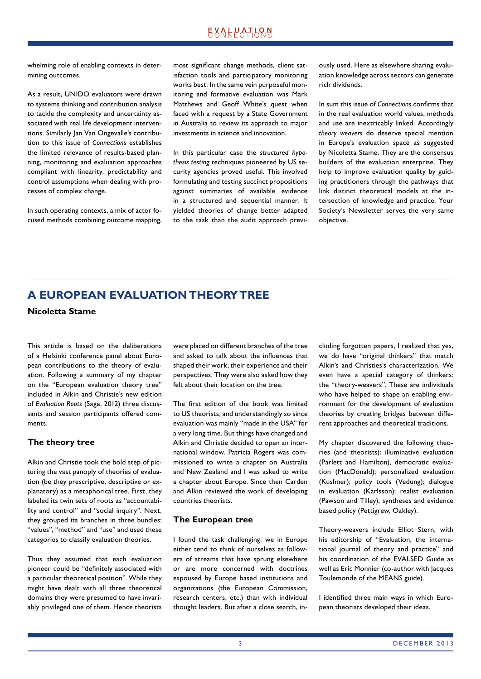## **EXALPATLQN**

whelming role of enabling contexts in determining outcomes.

As a result, UNIDO evaluators were drawn to systems thinking and contribution analysis to tackle the complexity and uncertainty associated with real life development interventions. Similarly Jan Van Ongevalle's contribution to this issue of *Connections* establishes the limited relevance of results-based planning, monitoring and evaluation approaches compliant with linearity, predictability and control assumptions when dealing with processes of complex change.

In such operating contexts, a mix of actor focused methods combining outcome mapping, most significant change methods, client satisfaction tools and participatory monitoring works best. In the same vein purposeful monitoring and formative evaluation was Mark Matthews and Geoff White's quest when faced with a request by a State Government in Australia to review its approach to major investments in science and innovation.

In this particular case the *structured hypothesis testing* techniques pioneered by US security agencies proved useful. This involved formulating and testing succinct propositions against summaries of available evidence in a structured and sequential manner. It yielded theories of change better adapted to the task than the audit approach previously used. Here as elsewhere sharing evaluation knowledge across sectors can generate rich dividends.

In sum this issue of *Connections* confirms that in the real evaluation world values, methods and use are inextricably linked. Accordingly *theory weavers* do deserve special mention in Europe's evaluation space as suggested by Nicoletta Stame. They are the consensus builders of the evaluation enterprise. They help to improve evaluation quality by guiding practitioners through the pathways that link distinct theoretical models at the intersection of knowledge and practice. Your Society's Newsletter serves the very same objective.

## **A EUROPEAN EVALUATION THEORY TREE**

## **Nicoletta Stame**

This article is based on the deliberations of a Helsinki conference panel about European contributions to the theory of evaluation. Following a summary of my chapter on the "European evaluation theory tree" included in Alkin and Christie's new edition of *Evaluation Roots* (Sage, 2012) three discussants and session participants offered comments.

## **The theory tree**

Alkin and Christie took the bold step of picturing the vast panoply of theories of evaluation (be they prescriptive, descriptive or explanatory) as a metaphorical tree. First, they labeled its twin sets of roots as "accountability and control" and "social inquiry". Next, they grouped its branches in three bundles: "values", "method" and "use" and used these categories to classify evaluation theories.

Thus they assumed that each evaluation pioneer could be "definitely associated with a particular theoretical position". While they might have dealt with all three theoretical domains they were presumed to have invariably privileged one of them. Hence theorists were placed on different branches of the tree and asked to talk about the influences that shaped their work, their experience and their perspectives. They were also asked how they felt about their location on the tree.

The first edition of the book was limited to US theorists, and understandingly so since evaluation was mainly "made in the USA" for a very long time. But things have changed and Alkin and Christie decided to open an international window. Patricia Rogers was commissioned to write a chapter on Australia and New Zealand and I was asked to write a chapter about Europe. Since then Carden and Alkin reviewed the work of developing countries theorists.

## **The European tree**

I found the task challenging: we in Europe either tend to think of ourselves as followers of streams that have sprung elsewhere or are more concerned with doctrines espoused by Europe based institutions and organizations (the European Commission, research centers, etc.) than with individual thought leaders. But after a close search, including forgotten papers, I realized that yes, we do have "original thinkers" that match Alkin's and Christies's characterization. We even have a special category of thinkers: the "theory-weavers". These are individuals who have helped to shape an enabling environment for the development of evaluation theories by creating bridges between different approaches and theoretical traditions.

My chapter discovered the following theories (and theorists): illuminative evaluation (Parlett and Hamilton), democratic evaluation (MacDonald); personalized evaluation (Kushner); policy tools (Vedung); dialogue in evaluation (Karlsson); realist evaluation (Pawson and Tilley), syntheses and evidence based policy (Pettigrew, Oakley).

Theory-weavers include Elliot Stern, with his editorship of "Evaluation, the international journal of theory and practice" and his coordination of the EVALSED Guide as well as Eric Monnier (co-author with Jacques Toulemonde of the MEANS guide).

I identified three main ways in which European theorists developed their ideas.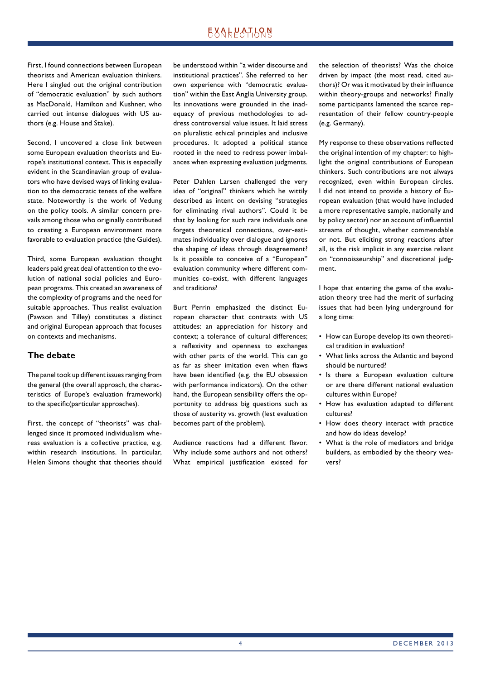## EXALPATLRN

First, I found connections between European theorists and American evaluation thinkers. Here I singled out the original contribution of "democratic evaluation" by such authors as MacDonald, Hamilton and Kushner, who carried out intense dialogues with US authors (e.g. House and Stake).

Second, I uncovered a close link between some European evaluation theorists and Europe's institutional context. This is especially evident in the Scandinavian group of evaluators who have devised ways of linking evaluation to the democratic tenets of the welfare state. Noteworthy is the work of Vedung on the policy tools. A similar concern prevails among those who originally contributed to creating a European environment more favorable to evaluation practice (the Guides).

Third, some European evaluation thought leaders paid great deal of attention to the evolution of national social policies and European programs. This created an awareness of the complexity of programs and the need for suitable approaches. Thus realist evaluation (Pawson and Tilley) constitutes a distinct and original European approach that focuses on contexts and mechanisms.

## **The debate**

The panel took up different issues ranging from the general (the overall approach, the characteristics of Europe's evaluation framework) to the specific(particular approaches).

First, the concept of "theorists" was challenged since it promoted individualism whereas evaluation is a collective practice, e.g. within research institutions. In particular, Helen Simons thought that theories should be understood within "a wider discourse and institutional practices". She referred to her own experience with "democratic evaluation" within the East Anglia University group. Its innovations were grounded in the inadequacy of previous methodologies to address controversial value issues. It laid stress on pluralistic ethical principles and inclusive procedures. It adopted a political stance rooted in the need to redress power imbalances when expressing evaluation judgments.

Peter Dahlen Larsen challenged the very idea of "original" thinkers which he wittily described as intent on devising "strategies for eliminating rival authors". Could it be that by looking for such rare individuals one forgets theoretical connections, over-estimates individuality over dialogue and ignores the shaping of ideas through disagreement? Is it possible to conceive of a "European" evaluation community where different communities co-exist, with different languages and traditions?

Burt Perrin emphasized the distinct European character that contrasts with US attitudes: an appreciation for history and context; a tolerance of cultural differences; a reflexivity and openness to exchanges with other parts of the world. This can go as far as sheer imitation even when flaws have been identified (e.g. the EU obsession with performance indicators). On the other hand, the European sensibility offers the opportunity to address big questions such as those of austerity vs. growth (lest evaluation becomes part of the problem).

Audience reactions had a different flavor. Why include some authors and not others? What empirical justification existed for the selection of theorists? Was the choice driven by impact (the most read, cited authors)? Or was it motivated by their influence within theory-groups and networks? Finally some participants lamented the scarce representation of their fellow country-people (e.g. Germany).

My response to these observations reflected the original intention of my chapter: to highlight the original contributions of European thinkers. Such contributions are not always recognized, even within European circles. I did not intend to provide a history of European evaluation (that would have included a more representative sample, nationally and by policy sector) nor an account of influential streams of thought, whether commendable or not. But eliciting strong reactions after all, is the risk implicit in any exercise reliant on "connoisseurship" and discretional judgment.

I hope that entering the game of the evaluation theory tree had the merit of surfacing issues that had been lying underground for a long time:

- How can Europe develop its own theoretical tradition in evaluation?
- What links across the Atlantic and beyond should be nurtured?
- Is there a European evaluation culture or are there different national evaluation cultures within Europe?
- How has evaluation adapted to different cultures?
- How does theory interact with practice and how do ideas develop?
- What is the role of mediators and bridge builders, as embodied by the theory weavers?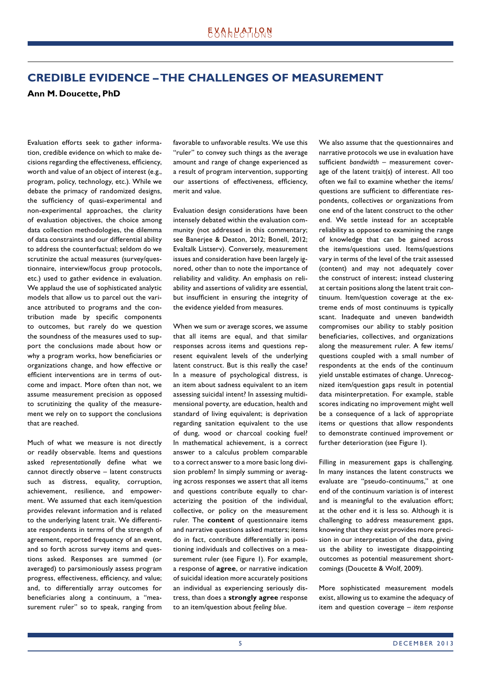# **CREDIBLE EVIDENCE – THE CHALLENGES OF MEASUREMENT**

**Ann M. Doucette, PhD**

Evaluation efforts seek to gather information, credible evidence on which to make decisions regarding the effectiveness, efficiency, worth and value of an object of interest (e.g., program, policy, technology, etc.). While we debate the primacy of randomized designs, the sufficiency of quasi-experimental and non-experimental approaches, the clarity of evaluation objectives, the choice among data collection methodologies, the dilemma of data constraints and our differential ability to address the counterfactual; seldom do we scrutinize the actual measures (survey/questionnaire, interview/focus group protocols, etc.) used to gather evidence in evaluation. We applaud the use of sophisticated analytic models that allow us to parcel out the variance attributed to programs and the contribution made by specific components to outcomes, but rarely do we question the soundness of the measures used to support the conclusions made about how or why a program works, how beneficiaries or organizations change, and how effective or efficient interventions are in terms of outcome and impact. More often than not, we assume measurement precision as opposed to scrutinizing the quality of the measurement we rely on to support the conclusions that are reached.

Much of what we measure is not directly or readily observable. Items and questions asked representationally define what we cannot directly observe – latent constructs such as distress, equality, corruption, achievement, resilience, and empowerment. We assumed that each item/question provides relevant information and is related to the underlying latent trait. We differentiate respondents in terms of the strength of agreement, reported frequency of an event, and so forth across survey items and questions asked. Responses are summed (or averaged) to parsimoniously assess program progress, effectiveness, efficiency, and value; and, to differentially array outcomes for beneficiaries along a continuum, a "measurement ruler" so to speak, ranging from favorable to unfavorable results. We use this "ruler" to convey such things as the average amount and range of change experienced as a result of program intervention, supporting our assertions of effectiveness, efficiency, merit and value.

Evaluation design considerations have been intensely debated within the evaluation community (not addressed in this commentary; see Banerjee & Deaton, 2012; Bonell, 2012; Evaltalk Listserv). Conversely, measurement issues and consideration have been largely ignored, other than to note the importance of reliability and validity. An emphasis on reliability and assertions of validity are essential, but insufficient in ensuring the integrity of the evidence yielded from measures.

When we sum or average scores, we assume that all items are equal, and that similar responses across items and questions represent equivalent levels of the underlying latent construct. But is this really the case? In a measure of psychological distress, is an item about sadness equivalent to an item assessing suicidal intent? In assessing multidimensional poverty, are education, health and standard of living equivalent; is deprivation regarding sanitation equivalent to the use of dung, wood or charcoal cooking fuel? In mathematical achievement, is a correct answer to a calculus problem comparable to a correct answer to a more basic long division problem? In simply summing or averaging across responses we assert that all items and questions contribute equally to characterizing the position of the individual, collective, or policy on the measurement ruler. The **content** of questionnaire items and narrative questions asked matters; items do in fact, contribute differentially in positioning individuals and collectives on a measurement ruler (see Figure 1). For example, a response of **agree**, or narrative indication of suicidal ideation more accurately positions an individual as experiencing seriously distress, than does a **strongly agree** response to an item/question about *feeling blue*.

We also assume that the questionnaires and narrative protocols we use in evaluation have sufficient *bandwidth* - measurement coverage of the latent trait(s) of interest. All too often we fail to examine whether the items/ questions are sufficient to differentiate respondents, collectives or organizations from one end of the latent construct to the other end. We settle instead for an acceptable reliability as opposed to examining the range of knowledge that can be gained across the items/questions used. Items/questions vary in terms of the level of the trait assessed (content) and may not adequately cover the construct of interest; instead clustering at certain positions along the latent trait continuum. Item/question coverage at the extreme ends of most continuums is typically scant. Inadequate and uneven bandwidth compromises our ability to stably position beneficiaries, collectives, and organizations along the measurement ruler. A few items/ questions coupled with a small number of respondents at the ends of the continuum yield unstable estimates of change. Unrecognized item/question gaps result in potential data misinterpretation. For example, stable scores indicating no improvement might well be a consequence of a lack of appropriate items or questions that allow respondents to demonstrate continued improvement or further deterioration (see Figure 1).

Filling in measurement gaps is challenging. In many instances the latent constructs we evaluate are "pseudo-continuums," at one end of the continuum variation is of interest and is meaningful to the evaluation effort; at the other end it is less so. Although it is challenging to address measurement gaps, knowing that they exist provides more precision in our interpretation of the data, giving us the ability to investigate disappointing outcomes as potential measurement shortcomings (Doucette & Wolf, 2009).

More sophisticated measurement models exist, allowing us to examine the adequacy of item and question coverage – *item response*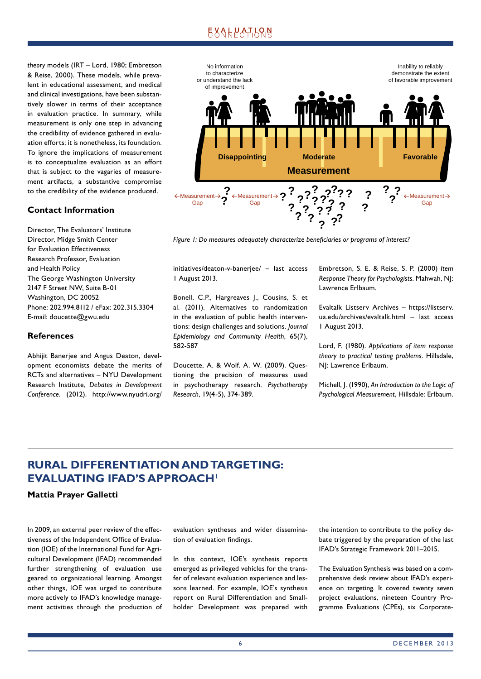## EXALPATLRN

*theory* models (IRT – Lord, 1980; Embretson & Reise, 2000). These models, while prevalent in educational assessment, and medical and clinical investigations, have been substantively slower in terms of their acceptance in evaluation practice. In summary, while measurement is only one step in advancing the credibility of evidence gathered in evaluation efforts; it is nonetheless, its foundation. To ignore the implications of measurement is to conceptualize evaluation as an effort that is subject to the vagaries of measurement artifacts, a substantive compromise to the credibility of the evidence produced.

## **Contact Information**

Director, The Evaluators' Institute Director, Midge Smith Center for Evaluation Effectiveness Research Professor, Evaluation and Health Policy The George Washington University 2147 F Street NW, Suite B-01 Washington, DC 20052 Phone: 202.994.8112 / eFax: 202.315.3304 E-mail: doucette@gwu.edu

#### **References**

Abhijit Banerjee and Angus Deaton, development economists debate the merits of RCTs and alternatives – NYU Development Research Institute, *Debates in Development Conference*. (2012). http://www.nyudri.org/



Figure 1: Do measures adequately characterize beneficiaries or programs of interest?

initiatives/deaton-v-banerjee/ – last access 1 August 2013.

Bonell, C.P., Hargreaves J., Cousins, S. et al. (2011). Alternatives to randomization in the evaluation of public health interventions: design challenges and solutions. *Journal Epidemiology and Community Health*, 65(7), 582-587

Doucette, A. & Wolf. A. W. (2009). Questioning the precision of measures used in psychotherapy research. *Psychotherapy Research*, 19(4-5), 374-389.

Embretson, S. E. & Reise, S. P. (2000) *Item Response Theory for Psychologists*. Mahwah, NJ: Lawrence Erlbaum.

Evaltalk Listserv Archives – https://listserv. ua.edu/archives/evaltalk.html – last access 1 August 2013.

Lord, F. (1980). *Applications of item response theory to practical testing problems*. Hillsdale, NJ: Lawrence Erlbaum.

Michell, J. (1990), *An Introduction to the Logic of Psychological Measurement*, Hillsdale: Erlbaum.

# **RURAL DIFFERENTIATION AND TARGETING: EVALUATING IFAD'S APPROACH**

## **Mattia Prayer Galletti**

In 2009, an external peer review of the effectiveness of the Independent Office of Evaluation (IOE) of the International Fund for Agricultural Development (IFAD) recommended further strengthening of evaluation use geared to organizational learning. Amongst other things, IOE was urged to contribute more actively to IFAD's knowledge management activities through the production of evaluation syntheses and wider dissemination of evaluation findings.

In this context, IOE's synthesis reports emerged as privileged vehicles for the transfer of relevant evaluation experience and lessons learned. For example, IOE's synthesis report on Rural Differentiation and Smallholder Development was prepared with

the intention to contribute to the policy debate triggered by the preparation of the last IFAD's Strategic Framework 2011–2015.

The Evaluation Synthesis was based on a comprehensive desk review about IFAD's experience on targeting. It covered twenty seven project evaluations, nineteen Country Programme Evaluations (CPEs), six Corporate-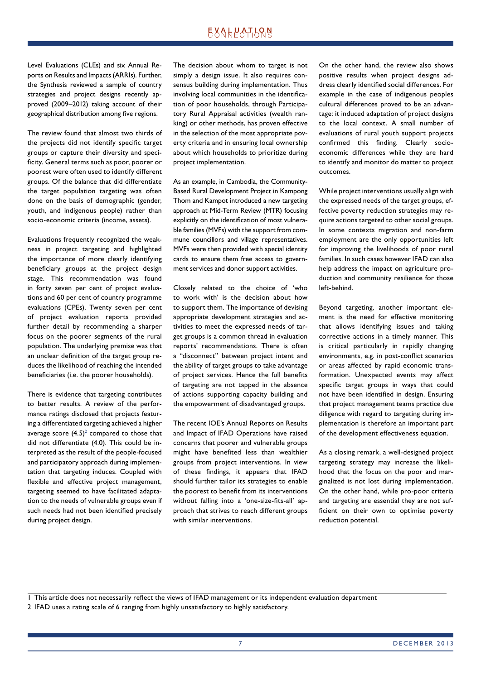## **EXALPATLQN**

Level Evaluations (CLEs) and six Annual Reports on Results and Impacts (ARRIs). Further, the Synthesis reviewed a sample of country strategies and project designs recently approved (2009–2012) taking account of their geographical distribution among five regions.

The review found that almost two thirds of the projects did not identify specific target groups or capture their diversity and specificity. General terms such as poor, poorer or poorest were often used to identify different groups. Of the balance that did differentiate the target population targeting was often done on the basis of demographic (gender, youth, and indigenous people) rather than socio-economic criteria (income, assets).

Evaluations frequently recognized the weakness in project targeting and highlighted the importance of more clearly identifying beneficiary groups at the project design stage. This recommendation was found in forty seven per cent of project evaluations and 60 per cent of country programme evaluations (CPEs). Twenty seven per cent of project evaluation reports provided further detail by recommending a sharper focus on the poorer segments of the rural population. The underlying premise was that an unclear definition of the target group reduces the likelihood of reaching the intended beneficiaries (i.e. the poorer households).

There is evidence that targeting contributes to better results. A review of the performance ratings disclosed that projects featuring a differentiated targeting achieved a higher average score  $(4.5)^2$  compared to those that did not differentiate (4.0). This could be interpreted as the result of the people-focused and participatory approach during implementation that targeting induces. Coupled with flexible and effective project management, targeting seemed to have facilitated adaptation to the needs of vulnerable groups even if such needs had not been identified precisely during project design.

The decision about whom to target is not simply a design issue. It also requires consensus building during implementation. Thus involving local communities in the identification of poor households, through Participatory Rural Appraisal activities (wealth ranking) or other methods, has proven effective in the selection of the most appropriate poverty criteria and in ensuring local ownership about which households to prioritize during project implementation.

As an example, in Cambodia, the Community-Based Rural Development Project in Kampong Thom and Kampot introduced a new targeting approach at Mid-Term Review (MTR) focusing explicitly on the identification of most vulnerable families (MVFs) with the support from commune councillors and village representatives. MVFs were then provided with special identity cards to ensure them free access to government services and donor support activities.

Closely related to the choice of 'who to work with' is the decision about how to support them. The importance of devising appropriate development strategies and activities to meet the expressed needs of target groups is a common thread in evaluation reports' recommendations. There is often a "disconnect" between project intent and the ability of target groups to take advantage of project services. Hence the full benefits of targeting are not tapped in the absence of actions supporting capacity building and the empowerment of disadvantaged groups.

The recent IOE's Annual Reports on Results and Impact of IFAD Operations have raised concerns that poorer and vulnerable groups might have benefited less than wealthier groups from project interventions. In view of these findings, it appears that IFAD should further tailor its strategies to enable the poorest to benefit from its interventions without falling into a 'one-size-fits-all' approach that strives to reach different groups with similar interventions.

On the other hand, the review also shows positive results when project designs address clearly identified social differences. For example in the case of indigenous peoples cultural differences proved to be an advantage: it induced adaptation of project designs to the local context. A small number of evaluations of rural youth support projects confirmed this finding. Clearly socioeconomic differences while they are hard to identify and monitor do matter to project outcomes.

While project interventions usually align with the expressed needs of the target groups, effective poverty reduction strategies may require actions targeted to other social groups. In some contexts migration and non-farm employment are the only opportunities left for improving the livelihoods of poor rural families. In such cases however IFAD can also help address the impact on agriculture production and community resilience for those left-behind.

Beyond targeting, another important element is the need for effective monitoring that allows identifying issues and taking corrective actions in a timely manner. This is critical particularly in rapidly changing environments, e.g. in post-conflict scenarios or areas affected by rapid economic transformation. Unexpected events may affect specific target groups in ways that could not have been identified in design. Ensuring that project management teams practice due diligence with regard to targeting during implementation is therefore an important part of the development effectiveness equation.

As a closing remark, a well-designed project targeting strategy may increase the likelihood that the focus on the poor and marginalized is not lost during implementation. On the other hand, while pro-poor criteria and targeting are essential they are not sufficient on their own to optimise poverty reduction potential.

<sup>1</sup> This article does not necessarily reflect the views of IFAD management or its independent evaluation department

2 IFAD uses a rating scale of 6 ranging from highly unsatisfactory to highly satisfactory.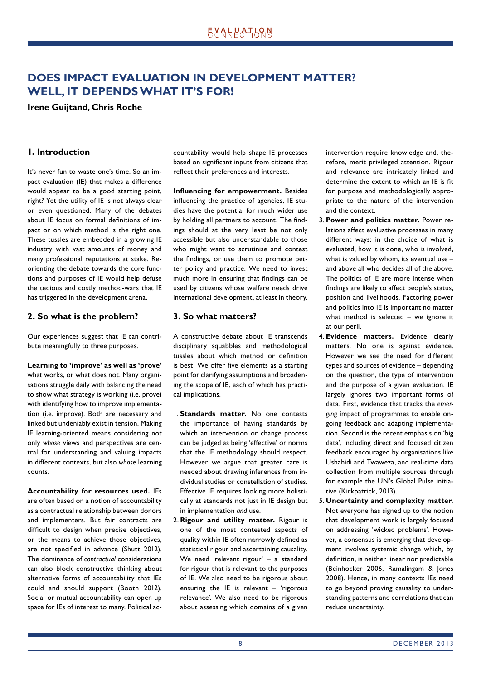# **DOES IMPACT EVALUATION IN DEVELOPMENT MATTER? WELL, IT DEPENDS WHAT IT'S FOR!**

**Irene Guijtand, Chris Roche**

#### **1. Introduction**

It's never fun to waste one's time. So an impact evaluation (IE) that makes a difference would appear to be a good starting point, right? Yet the utility of IE is not always clear or even questioned. Many of the debates about IE focus on formal definitions of impact or on which method is the right one. These tussles are embedded in a growing IE industry with vast amounts of money and many professional reputations at stake. Reorienting the debate towards the core functions and purposes of IE would help defuse the tedious and costly method-wars that IE has triggered in the development arena.

#### **2. So what is the problem?**

Our experiences suggest that IE can contribute meaningfully to three purposes.

**Learning to 'improve' as well as 'prove'** what works, or what does not. Many organisations struggle daily with balancing the need to show what strategy is working (i.e. prove) with identifying how to improve implementation (i.e. improve). Both are necessary and linked but undeniably exist in tension. Making IE learning-oriented means considering not only *whose* views and perspectives are central for understanding and valuing impacts in different contexts, but also *whose* learning counts.

**Accountability for resources used.** IEs are often based on a notion of accountability as a contractual relationship between donors and implementers. But fair contracts are difficult to design when precise objectives, or the means to achieve those objectives, are not specified in advance (Shutt 2012). The dominance of *contractual* considerations can also block constructive thinking about alternative forms of accountability that IEs could and should support (Booth 2012). Social or mutual accountability can open up space for IEs of interest to many. Political accountability would help shape IE processes based on significant inputs from citizens that reflect their preferences and interests.

**Influencing for empowerment.** Besides influencing the practice of agencies, IE studies have the potential for much wider use by holding all partners to account. The findings should at the very least be not only accessible but also understandable to those who might want to scrutinise and contest the findings, or use them to promote better policy and practice. We need to invest much more in ensuring that findings can be used by citizens whose welfare needs drive international development, at least in theory.

#### **3. So what matters?**

A constructive debate about IE transcends disciplinary squabbles and methodological tussles about which method or definition is best. We offer five elements as a starting point for clarifying assumptions and broadening the scope of IE, each of which has practical implications.

- 1. **Standards matter.** No one contests the importance of having standards by which an intervention or change process can be judged as being 'effective' or norms that the IE methodology should respect. However we argue that greater care is needed about drawing inferences from individual studies or constellation of studies. Effective IE requires looking more holistically at standards not just in IE design but in implementation *and* use.
- 2. **Rigour and utility matter.** Rigour is one of the most contested aspects of quality within IE often narrowly defined as statistical rigour and ascertaining causality. We need 'relevant rigour' - a standard for rigour that is relevant to the purposes of IE. We also need to be rigorous about ensuring the IE is relevant – 'rigorous relevance'. We also need to be rigorous about assessing which domains of a given

intervention require knowledge and, there fore, merit privileged attention. Rigour and relevance are intricately linked and determine the extent to which an IE is fit for purpose and methodologically appropriate to the nature of the intervention and the context.

- 3. **Power and politics matter.** Power relations affect evaluative processes in many different ways: in the choice of what is evaluated, how it is done, who is involved, what is valued by whom, its eventual use – and above all who decides all of the above. The politics of IE are more intense when findings are likely to affect people's status, position and livelihoods. Factoring power and politics into IE is important no matter what method is selected – we ignore it at our peril.
- 4. **Evidence matters.** Evidence clearly matters. No one is against evidence. However we see the need for different types and sources of evidence – depending on the question, the type of intervention and the purpose of a given evaluation. IE largely ignores two important forms of data. First, evidence that tracks the *emerging* impact of programmes to enable ongoing feedback and adapting implementation. Second is the recent emphasis on 'big data', including direct and focused citizen feedback encouraged by organisations like Ushahidi and Twaweza, and real-time data collection from multiple sources through for example the UN's Global Pulse initiative (Kirkpatrick, 2013).
- 5. **Uncertainty and complexity matter.** Not everyone has signed up to the notion that development work is largely focused on addressing 'wicked problems'. However, a consensus is emerging that development involves systemic change which, by definition, is neither linear nor predictable (Beinhocker 2006, Ramalingam & Jones 2008). Hence, in many contexts IEs need to go beyond proving causality to understanding patterns and correlations that can reduce uncertainty.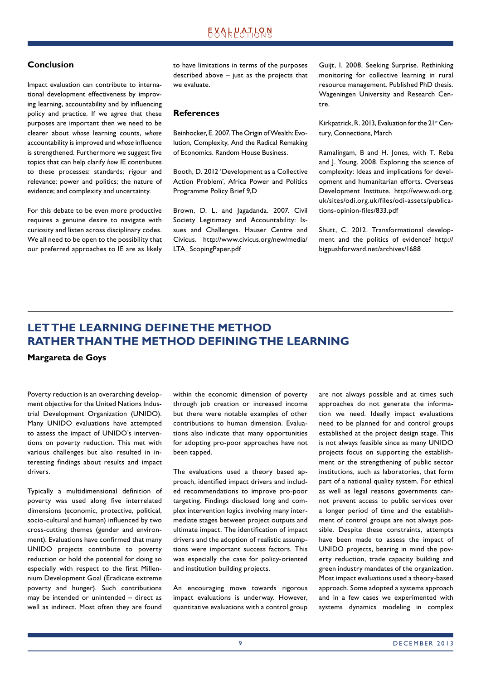## **Conclusion**

Impact evaluation can contribute to international development effectiveness by improving learning, accountability and by influencing policy and practice. If we agree that these purposes are important then we need to be clearer about *whose* learning counts, *whose* accountability is improved and whose influence is strengthened. Furthermore we suggest five topics that can help clarify *how* IE contributes to these processes: standards; rigour and relevance; power and politics; the nature of evidence; and complexity and uncertainty.

For this debate to be even more productive requires a genuine desire to navigate with curiosity and listen across disciplinary codes. We all need to be open to the possibility that our preferred approaches to IE are as likely

to have limitations in terms of the purposes described above – just as the projects that we evaluate.

#### **References**

Beinhocker, E. 2007. The Origin of Wealth: Evolution, Complexity, And the Radical Remaking of Economics. Random House Business.

Booth, D. 2012 'Development as a Collective Action Problem', Africa Power and Politics Programme Policy Brief 9,D

Brown, D. L. and Jagadanda. 2007. Civil Society Legitimacy and Accountability: Issues and Challenges. Hauser Centre and Civicus. http://www.civicus.org/new/media/ LTA\_ScopingPaper.pdf

Guijt, I. 2008. Seeking Surprise. Rethinking monitoring for collective learning in rural resource management. Published PhD thesis. Wageningen University and Research Centre.

Kirkpatrick, R. 2013, Evaluation for the 21<sup>st</sup> Century, Connections, March

Ramalingam, B and H. Jones, with T. Reba and J. Young. 2008. Exploring the science of complexity: Ideas and implications for development and humanitarian efforts. Overseas Development Institute. http://www.odi.org. uk/sites/odi.org.uk/files/odi-assets/publications-opinion-files/833.pdf

Shutt, C. 2012. Transformational development and the politics of evidence? http:// bigpushforward.net/archives/1688

# **LET THE LEARNING DEFINE THE METHOD RATHER THAN THE METHOD DEFINING THE LEARNING**

**Margareta de Goys**

Poverty reduction is an overarching development objective for the United Nations Industrial Development Organization (UNIDO). Many UNIDO evaluations have attempted to assess the impact of UNIDO's interventions on poverty reduction. This met with various challenges but also resulted in interesting findings about results and impact drivers.

Typically a multidimensional definition of poverty was used along five interrelated dimensions (economic, protective, political, socio-cultural and human) influenced by two cross-cutting themes (gender and environment). Evaluations have confirmed that many UNIDO projects contribute to poverty reduction or hold the potential for doing so especially with respect to the first Millennium Development Goal (Eradicate extreme poverty and hunger). Such contributions may be intended or unintended – direct as well as indirect. Most often they are found within the economic dimension of poverty through job creation or increased income but there were notable examples of other contributions to human dimension. Evaluations also indicate that many opportunities for adopting pro-poor approaches have not been tapped.

The evaluations used a theory based approach, identified impact drivers and included recommendations to improve pro-poor targeting. Findings disclosed long and complex intervention logics involving many intermediate stages between project outputs and ultimate impact. The identification of impact drivers and the adoption of realistic assumptions were important success factors. This was especially the case for policy-oriented and institution building projects.

An encouraging move towards rigorous impact evaluations is underway. However, quantitative evaluations with a control group

are not always possible and at times such approaches do not generate the information we need. Ideally impact evaluations need to be planned for and control groups established at the project design stage. This is not always feasible since as many UNIDO projects focus on supporting the establishment or the strengthening of public sector institutions, such as laboratories, that form part of a national quality system. For ethical as well as legal reasons governments cannot prevent access to public services over a longer period of time and the establishment of control groups are not always possible. Despite these constraints, attempts have been made to assess the impact of UNIDO projects, bearing in mind the poverty reduction, trade capacity building and green industry mandates of the organization. Most impact evaluations used a theory-based approach. Some adopted a systems approach and in a few cases we experimented with systems dynamics modeling in complex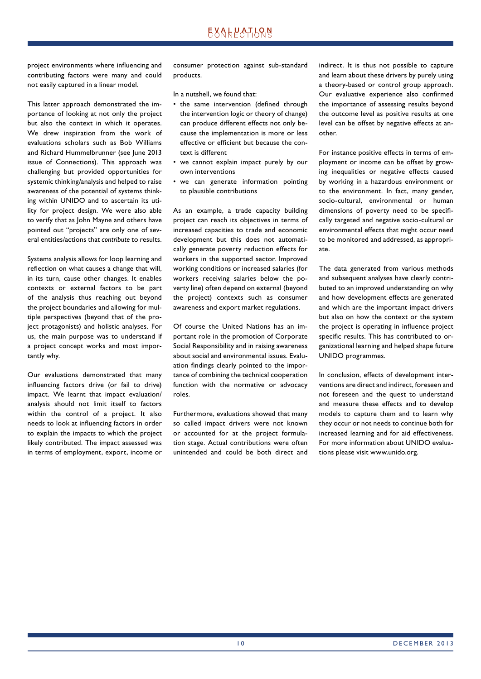project environments where influencing and contributing factors were many and could not easily captured in a linear model.

This latter approach demonstrated the importance of looking at not only the project but also the context in which it operates. We drew inspiration from the work of evaluations scholars such as Bob Williams and Richard Hummelbrunner (see June 2013 issue of Connections). This approach was challenging but provided opportunities for systemic thinking/analysis and helped to raise awareness of the potential of systems thinking within UNIDO and to ascertain its utility for project design. We were also able to verify that as John Mayne and others have pointed out "projects" are only one of several entities/actions that *contribute* to results.

Systems analysis allows for loop learning and reflection on what causes a change that will, in its turn, cause other changes. It enables contexts or external factors to be part of the analysis thus reaching out beyond the project boundaries and allowing for multiple perspectives (beyond that of the project protagonists) and holistic analyses. For us, the main purpose was to understand if a project concept works and most importantly why.

Our evaluations demonstrated that many influencing factors drive (or fail to drive) impact. We learnt that impact evaluation/ analysis should not limit itself to factors within the control of a project. It also needs to look at influencing factors in order to explain the impacts to which the project likely contributed. The impact assessed was in terms of employment, export, income or consumer protection against sub-standard products.

In a nutshell, we found that:

- the same intervention (defined through the intervention logic or theory of change) can produce different effects not only because the implementation is more or less effective or efficient but because the context is different
- we cannot explain impact purely by our own interventions
- we can generate information pointing to plausible contributions

As an example, a trade capacity building project can reach its objectives in terms of increased capacities to trade and economic development but this does not automatically generate poverty reduction effects for workers in the supported sector. Improved working conditions or increased salaries (for workers receiving salaries below the poverty line) often depend on external (beyond the project) contexts such as consumer awareness and export market regulations.

Of course the United Nations has an important role in the promotion of Corporate Social Responsibility and in raising awareness about social and environmental issues. Evaluation findings clearly pointed to the importance of combining the technical cooperation function with the normative or advocacy roles.

Furthermore, evaluations showed that many so called impact drivers were not known or accounted for at the project formulation stage. Actual contributions were often unintended and could be both direct and indirect. It is thus not possible to capture and learn about these drivers by purely using a theory-based or control group approach. Our evaluative experience also confirmed the importance of assessing results beyond the outcome level as positive results at one level can be offset by negative effects at another.

For instance positive effects in terms of employment or income can be offset by growing inequalities or negative effects caused by working in a hazardous environment or to the environment. In fact, many gender, socio-cultural, environmental or human dimensions of poverty need to be specifically targeted and negative socio-cultural or environmental effects that might occur need to be monitored and addressed, as appropriate.

The data generated from various methods and subsequent analyses have clearly contributed to an improved understanding on why and how development effects are generated and which are the important impact drivers but also on how the context or the system the project is operating in influence project specific results. This has contributed to organizational learning and helped shape future UNIDO programmes.

In conclusion, effects of development interventions are direct and indirect, foreseen and not foreseen and the quest to understand and measure these effects and to develop models to capture them and to learn why they occur or not needs to continue both for increased learning and for aid effectiveness. For more information about UNIDO evaluations please visit www.unido.org.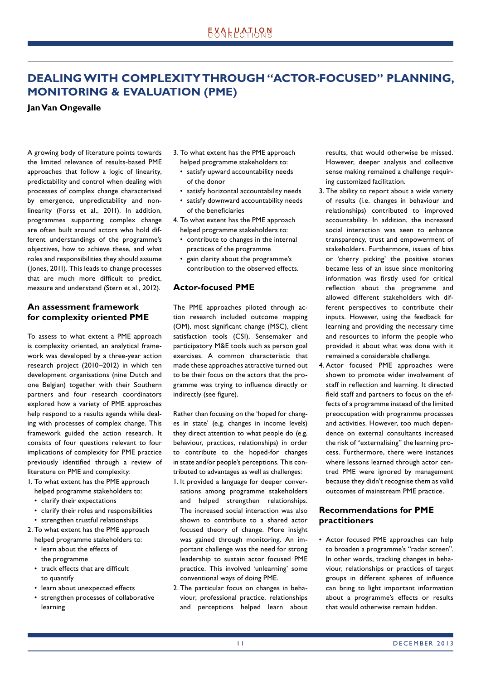# **DEALING WITH COMPLEXITY THROUGH "ACTOR-FOCUSED" PLANNING, MONITORING & EVALUATION (PME)**

**Jan Van Ongevalle** 

A growing body of literature points towards the limited relevance of results-based PME approaches that follow a logic of linearity, predictability and control when dealing with processes of complex change characterised by emergence, unpredictability and nonlinearity (Forss et al., 2011). In addition, programmes supporting complex change are often built around actors who hold different understandings of the programme's objectives, how to achieve these, and what roles and responsibilities they should assume (Jones, 2011). This leads to change processes that are much more difficult to predict, measure and understand (Stern et al., 2012).

## **An assessment framework for complexity oriented PME**

To assess to what extent a PME approach is complexity oriented, an analytical framework was developed by a three-year action research project (2010–2012) in which ten development organisations (nine Dutch and one Belgian) together with their Southern partners and four research coordinators explored how a variety of PME approaches help respond to a results agenda while dealing with processes of complex change. This framework guided the action research. It consists of four questions relevant to four implications of complexity for PME practice previously identified through a review of literature on PME and complexity:

- 1. To what extent has the PME approach helped programme stakeholders to:
	- clarify their expectations
	- clarify their roles and responsibilities
	- strengthen trustful relationships
- 2. To what extent has the PME approach helped programme stakeholders to:
	- learn about the effects of the programme
	- track effects that are difficult to quantify
	- learn about unexpected effects
	- strengthen processes of collaborative learning
- 3. To what extent has the PME approach helped programme stakeholders to:
	- satisfy upward accountability needs of the donor
	- satisfy horizontal accountability needs
	- satisfy downward accountability needs of the beneficiaries
- 4. To what extent has the PME approach helped programme stakeholders to:
	- contribute to changes in the internal practices of the programme
	- gain clarity about the programme's contribution to the observed effects.

## **Actor-focused PME**

The PME approaches piloted through action research included outcome mapping (OM), most significant change (MSC), client satisfaction tools (CSI), Sensemaker and participatory M&E tools such as person goal exercises. A common characteristic that made these approaches attractive turned out to be their focus on the actors that the programme was trying to influence directly or indirectly (see figure).

Rather than focusing on the 'hoped for changes in state' (e.g. changes in income levels) they direct attention to what people do (e.g. behaviour, practices, relationships) in order to contribute to the hoped-for changes in state and/or people's perceptions. This contributed to advantages as well as challenges:

- 1. It provided a language for deeper conversations among programme stakeholders and helped strengthen relationships. The increased social interaction was also shown to contribute to a shared actor focused theory of change. More insight was gained through monitoring. An important challenge was the need for strong leadership to sustain actor focused PME practice. This involved 'unlearning' some conventional ways of doing PME.
- 2. The particular focus on changes in behaviour, professional practice, relationships and perceptions helped learn about

results, that would otherwise be missed. However, deeper analysis and collective sense making remained a challenge requiring customized facilitation.

- 3. The ability to report about a wide variety of results (i.e. changes in behaviour and relationships) contributed to improved accountability. In addition, the increased social interaction was seen to enhance transparency, trust and empowerment of stakeholders. Furthermore, issues of bias or 'cherry picking' the positive stories became less of an issue since monitoring information was firstly used for critical reflection about the programme and allowed different stakeholders with different perspectives to contribute their inputs. However, using the feedback for learning and providing the necessary time and resources to inform the people who provided it about what was done with it remained a considerable challenge.
- 4. Actor focused PME approaches were shown to promote wider involvement of staff in reflection and learning. It directed field staff and partners to focus on the effects of a programme instead of the limited preoccupation with programme processes and activities. However, too much dependence on external consultants increased the risk of "externalising" the learning process. Furthermore, there were instances where lessons learned through actor centred PME were ignored by management because they didn't recognise them as valid outcomes of mainstream PME practice.

## **Recommendations for PME practitioners**

• Actor focused PME approaches can help to broaden a programme's "radar screen". In other words, tracking changes in behaviour, relationships or practices of target groups in different spheres of influence can bring to light important information about a programme's effects or results that would otherwise remain hidden.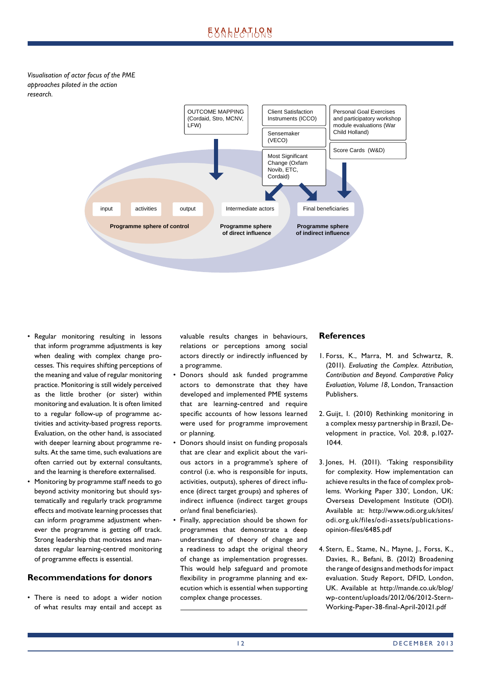# EXALPATLRN

*Visualisation of actor focus of the PME approaches piloted in the action research.*



- Regular monitoring resulting in lessons that inform programme adjustments is key when dealing with complex change processes. This requires shifting perceptions of the meaning and value of regular monitoring practice. Monitoring is still widely perceived as the little brother (or sister) within monitoring and evaluation. It is often limited to a regular follow-up of programme activities and activity-based progress reports. Evaluation, on the other hand, is associated with deeper learning about programme results. At the same time, such evaluations are often carried out by external consultants, and the learning is therefore externalised.
- Monitoring by programme staff needs to go beyond activity monitoring but should systematically and regularly track programme effects and motivate learning processes that can inform programme adjustment whenever the programme is getting off track. Strong leadership that motivates and mandates regular learning-centred monitoring of programme effects is essential.

## **Recommendations for donors**

• There is need to adopt a wider notion of what results may entail and accept as valuable results changes in behaviours, relations or perceptions among social actors directly or indirectly influenced by a programme.

- Donors should ask funded programme actors to demonstrate that they have developed and implemented PME systems that are learning-centred and require specific accounts of how lessons learned were used for programme improvement or planning.
- Donors should insist on funding proposals that are clear and explicit about the various actors in a programme's sphere of control (i.e. who is responsible for inputs, activities, outputs), spheres of direct influence (direct target groups) and spheres of indirect influence (indirect target groups or/and final beneficiaries).
- Finally, appreciation should be shown for programmes that demonstrate a deep understanding of theory of change and a readiness to adapt the original theory of change as implementation progresses. This would help safeguard and promote flexibility in programme planning and execution which is essential when supporting complex change processes.

#### **References**

- 1. Forss, K., Marra, M. and Schwartz, R. (2011). *Evaluating the Complex. Attribution, Contribution and Beyond. Comparative Policy Evaluation, Volume 18*, London, Transaction Publishers.
- 2. Guijt, I. (2010) Rethinking monitoring in a complex messy partnership in Brazil, Development in practice, Vol. 20:8, p.1027- 1044.
- 3. Jones, H. (2011). 'Taking responsibility for complexity. How implementation can achieve results in the face of complex problems. Working Paper 330', London, UK: Overseas Development Institute (ODI). Available at: http://www.odi.org.uk/sites/ odi.org.uk/files/odi-assets/publicationsopinion-fi les/6485.pdf
- 4. Stern, E., Stame, N., Mayne, J., Forss, K., Davies, R., Befani, B. (2012) Broadening the range of designs and methods for impact evaluation. Study Report, DFID, London, UK. Available at http://mande.co.uk/blog/ wp-content/uploads/2012/06/2012-Stern-Working-Paper-38-final-April-20121.pdf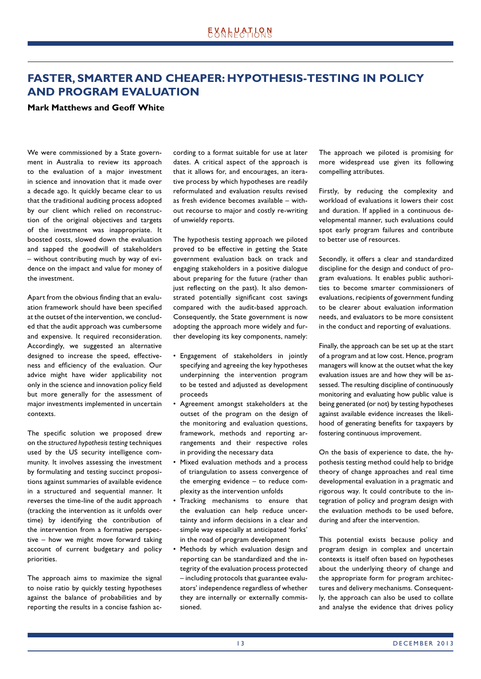# **FASTER, SMARTER AND CHEAPER: HYPOTHESIS -TESTING IN POLICY AND PROGRAM EVALUATION**

#### **Mark Matthews and Geoff White**

We were commissioned by a State government in Australia to review its approach to the evaluation of a major investment in science and innovation that it made over a decade ago. It quickly became clear to us that the traditional auditing process adopted by our client which relied on reconstruction of the original objectives and targets of the investment was inappropriate. It boosted costs, slowed down the evaluation and sapped the goodwill of stakeholders – without contributing much by way of evidence on the impact and value for money of the investment.

Apart from the obvious finding that an evaluation framework should have been specified at the outset of the intervention, we concluded that the audit approach was cumbersome and expensive. It required reconsideration. Accordingly, we suggested an alternative designed to increase the speed, effectiveness and efficiency of the evaluation. Our advice might have wider applicability not only in the science and innovation policy field but more generally for the assessment of major investments implemented in uncertain contexts.

The specific solution we proposed drew on the *structured hypothesis testing* techniques used by the US security intelligence community. It involves assessing the investment by formulating and testing succinct propositions against summaries of available evidence in a structured and sequential manner. It reverses the time-line of the audit approach (tracking the intervention as it unfolds over time) by identifying the contribution of the intervention from a formative perspective – how we might move forward taking account of current budgetary and policy priorities.

The approach aims to maximize the signal to noise ratio by quickly testing hypotheses against the balance of probabilities and by reporting the results in a concise fashion according to a format suitable for use at later dates. A critical aspect of the approach is that it allows for, and encourages, an iterative process by which hypotheses are readily reformulated and evaluation results revised as fresh evidence becomes available – without recourse to major and costly re-writing of unwieldy reports.

The hypothesis testing approach we piloted proved to be effective in getting the State government evaluation back on track and engaging stakeholders in a positive dialogue about preparing for the future (rather than just reflecting on the past). It also demonstrated potentially significant cost savings compared with the audit-based approach. Consequently, the State government is now adopting the approach more widely and further developing its key components, namely:

- Engagement of stakeholders in jointly specifying and agreeing the key hypotheses underpinning the intervention program to be tested and adjusted as development proceeds
- Agreement amongst stakeholders at the outset of the program on the design of the monitoring and evaluation questions, framework, methods and reporting arrangements and their respective roles in providing the necessary data
- Mixed evaluation methods and a process of triangulation to assess convergence of the emerging evidence – to reduce complexity as the intervention unfolds
- Tracking mechanisms to ensure that the evaluation can help reduce uncertainty and inform decisions in a clear and simple way especially at anticipated 'forks' in the road of program development
- Methods by which evaluation design and reporting can be standardized and the integrity of the evaluation process protected – including protocols that guarantee evaluators' independence regardless of whether they are internally or externally commissioned.

The approach we piloted is promising for more widespread use given its following compelling attributes.

Firstly, by reducing the complexity and workload of evaluations it lowers their cost and duration. If applied in a continuous developmental manner, such evaluations could spot early program failures and contribute to better use of resources.

Secondly, it offers a clear and standardized discipline for the design and conduct of program evaluations. It enables public authorities to become smarter commissioners of evaluations, recipients of government funding to be clearer about evaluation information needs, and evaluators to be more consistent in the conduct and reporting of evaluations.

Finally, the approach can be set up at the start of a program and at low cost. Hence, program managers will know at the outset what the key evaluation issues are and how they will be assessed. The resulting discipline of continuously monitoring and evaluating how public value is being generated (or not) by testing hypotheses against available evidence increases the likelihood of generating benefits for taxpayers by fostering continuous improvement.

On the basis of experience to date, the hypothesis testing method could help to bridge theory of change approaches and real time developmental evaluation in a pragmatic and rigorous way. It could contribute to the integration of policy and program design with the evaluation methods to be used before, during and after the intervention.

This potential exists because policy and program design in complex and uncertain contexts is itself often based on hypotheses about the underlying theory of change and the appropriate form for program architectures and delivery mechanisms. Consequently, the approach can also be used to collate and analyse the evidence that drives policy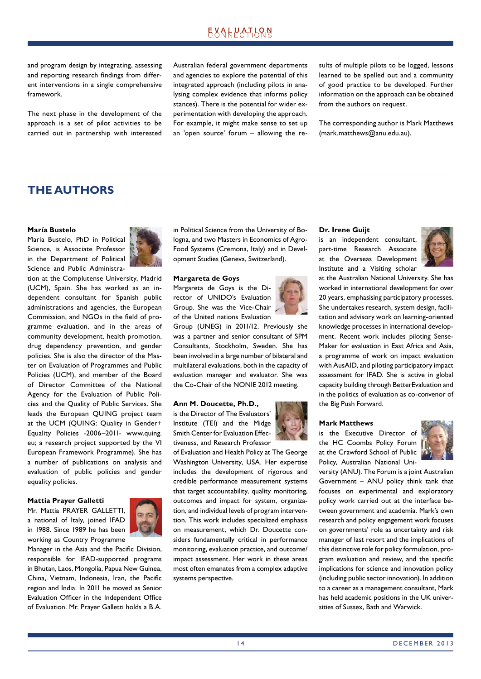## **EXALPATION**

and program design by integrating, assessing and reporting research findings from different interventions in a single comprehensive framework.

The next phase in the development of the approach is a set of pilot activities to be carried out in partnership with interested Australian federal government departments and agencies to explore the potential of this integrated approach (including pilots in analysing complex evidence that informs policy stances). There is the potential for wider experimentation with developing the approach. For example, it might make sense to set up an 'open source' forum – allowing the results of multiple pilots to be logged, lessons learned to be spelled out and a community of good practice to be developed. Further information on the approach can be obtained from the authors on request.

The corresponding author is Mark Matthews (mark.matthews@anu.edu.au).

## **THE AUTHORS**

#### **María Bustelo**

Maria Bustelo, PhD in Political Science, is Associate Professor in the Department of Political Science and Public Administra-



tion at the Complutense University, Madrid (UCM), Spain. She has worked as an independent consultant for Spanish public administrations and agencies, the European Commission, and NGOs in the field of programme evaluation, and in the areas of community development, health promotion, drug dependency prevention, and gender policies. She is also the director of the Master on Evaluation of Programmes and Public Policies (UCM), and member of the Board of Director Committee of the National Agency for the Evaluation of Public Policies and the Quality of Public Services. She leads the European QUING project team at the UCM (QUING: Quality in Gender+ Equality Policies -2006–2011- www.quing. eu; a research project supported by the VI European Framework Programme). She has a number of publications on analysis and evaluation of public policies and gender equality policies.

#### **Mattia Prayer Galletti**

Mr. Mattia PRAYER GALLETTI, a national of Italy, joined IFAD in 1988. Since 1989 he has been working as Country Programme



Manager in the Asia and the Pacific Division, responsible for IFAD-supported programs in Bhutan, Laos, Mongolia, Papua New Guinea, China, Vietnam, Indonesia, Iran, the Pacific region and India. In 2011 he moved as Senior Evaluation Officer in the Independent Office of Evaluation. Mr. Prayer Galletti holds a B.A. in Political Science from the University of Bologna, and two Masters in Economics of Agro-Food Systems (Cremona, Italy) and in Development Studies (Geneva, Switzerland).

#### **Margareta de Goys**

Margareta de Goys is the Director of UNIDO's Evaluation Group. She was the Vice-Chair of the United nations Evaluation

Group (UNEG) in 2011/12. Previously she was a partner and senior consultant of SPM Consultants, Stockholm, Sweden. She has been involved in a large number of bilateral and multilateral evaluations, both in the capacity of evaluation manager and evaluator. She was the Co-Chair of the NONIE 2012 meeting.

#### **Ann M. Doucette, Ph.D.,**

is the Director of The Evaluators' Institute (TEI) and the Midge Smith Center for Evaluation Effectiveness, and Research Professor

of Evaluation and Health Policy at The George Washington University, USA. Her expertise includes the development of rigorous and credible performance measurement systems that target accountability, quality monitoring, outcomes and impact for system, organization, and individual levels of program intervention. This work includes specialized emphasis on measurement, which Dr. Doucette considers fundamentally critical in performance monitoring, evaluation practice, and outcome/ impact assessment. Her work in these areas most often emanates from a complex adaptive systems perspective.



#### **Dr. Irene Guijt**

is an independent consultant, part-time Research Associate at the Overseas Development Institute and a Visiting scholar



at the Australian National University. She has worked in international development for over 20 years, emphasising participatory processes. She undertakes research, system design, facilitation and advisory work on learning-oriented knowledge processes in international development. Recent work includes piloting Sense-Maker for evaluation in East Africa and Asia, a programme of work on impact evaluation with AusAID, and piloting participatory impact assessment for IFAD. She is active in global capacity building through BetterEvaluation and in the politics of evaluation as co-convenor of the Big Push Forward.

#### **Mark Matthews**

is the Executive Director of the HC Coombs Policy Forum at the Crawford School of Public Policy, Australian National Uni-



versity (ANU). The Forum is a joint Australian Government – ANU policy think tank that focuses on experimental and exploratory policy work carried out at the interface between government and academia. Mark's own research and policy engagement work focuses on governments' role as uncertainty and risk manager of last resort and the implications of this distinctive role for policy formulation, program evaluation and review, and the specific implications for science and innovation policy (including public sector innovation). In addition to a career as a management consultant, Mark has held academic positions in the UK universities of Sussex, Bath and Warwick.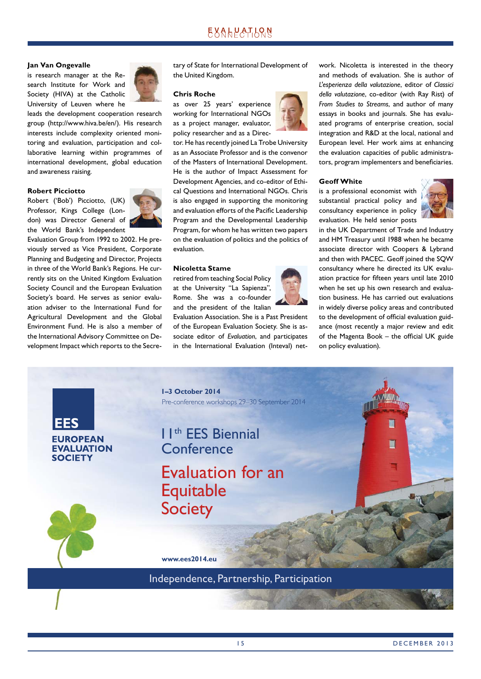## **EXALPATLON**

#### **Jan Van Ongevalle**

is research manager at the Research Institute for Work and Society (HIVA) at the Catholic University of Leuven where he



leads the development cooperation research group (http://www.hiva.be/en/). His research interests include complexity oriented monitoring and evaluation, participation and collaborative learning within programmes of international development, global education and awareness raising.

#### **Robert Picciotto**

Robert ('Bob') Picciotto, (UK) Professor, Kings College (London) was Director General of the World Bank's Independent



Evaluation Group from 1992 to 2002. He previously served as Vice President, Corporate Planning and Budgeting and Director, Projects in three of the World Bank's Regions. He currently sits on the United Kingdom Evaluation Society Council and the European Evaluation Society's board. He serves as senior evaluation adviser to the International Fund for Agricultural Development and the Global Environment Fund. He is also a member of the International Advisory Committee on Development Impact which reports to the Secretary of State for International Development of the United Kingdom.

#### **Chris Roche**

as over 25 years' experience working for International NGOs as a project manager, evaluator, policy researcher and as a Direc-

tor. He has recently joined La Trobe University as an Associate Professor and is the convenor of the Masters of International Development. He is the author of Impact Assessment for Development Agencies, and co-editor of Ethical Questions and International NGOs. Chris is also engaged in supporting the monitoring and evaluation efforts of the Pacific Leadership Program and the Developmental Leadership Program, for whom he has written two papers on the evaluation of politics and the politics of evaluation.

#### **Nicoletta Stame**

retired from teaching Social Policy at the University "La Sapienza", Rome. She was a co-founder and the president of the Italian

Evaluation Association. She is a Past President of the European Evaluation Society. She is associate editor of *Evaluation*, and participates in the International Evaluation (Inteval) net-



work. Nicoletta is interested in the theory and methods of evaluation. She is author of *L'esperienza della valutazione*, editor of *Classici della valutazione*, co-editor (with Ray Rist) of *From Studies to Streams*, and author of many essays in books and journals. She has evaluated programs of enterprise creation, social integration and R&D at the local, national and European level. Her work aims at enhancing the evaluation capacities of public administrators, program implementers and beneficiaries.

#### **Geoff White**

is a professional economist with substantial practical policy and consultancy experience in policy evaluation. He held senior posts



in the UK Department of Trade and Industry and HM Treasury until 1988 when he became associate director with Coopers & Lybrand and then with PACEC. Geoff joined the SQW consultancy where he directed its UK evaluation practice for fifteen years until late 2010 when he set up his own research and evaluation business. He has carried out evaluations in widely diverse policy areas and contributed to the development of official evaluation guidance (most recently a major review and edit of the Magenta Book  $-$  the official UK guide on policy evaluation).